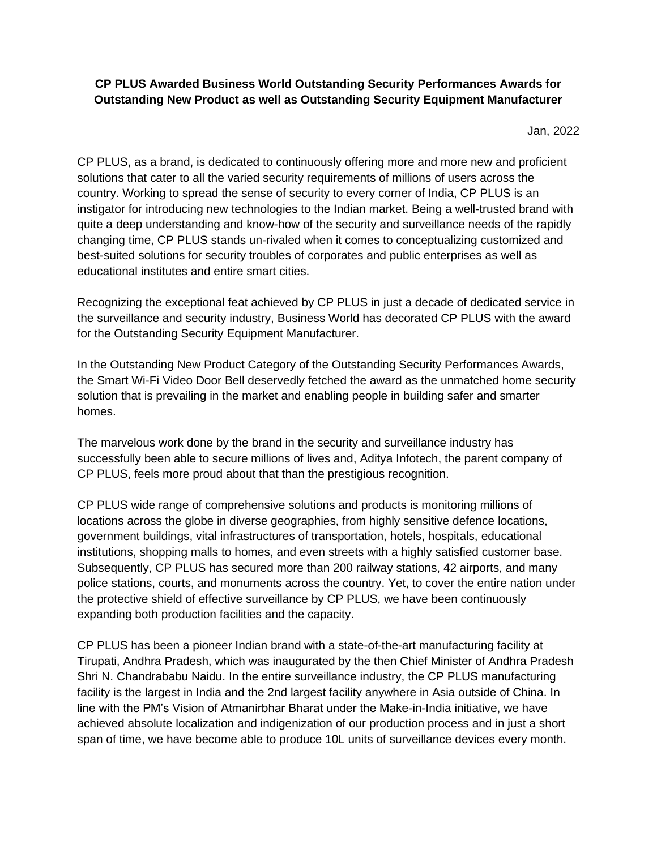## **CP PLUS Awarded Business World Outstanding Security Performances Awards for Outstanding New Product as well as Outstanding Security Equipment Manufacturer**

Jan, 2022

CP PLUS, as a brand, is dedicated to continuously offering more and more new and proficient solutions that cater to all the varied security requirements of millions of users across the country. Working to spread the sense of security to every corner of India, CP PLUS is an instigator for introducing new technologies to the Indian market. Being a well-trusted brand with quite a deep understanding and know-how of the security and surveillance needs of the rapidly changing time, CP PLUS stands un-rivaled when it comes to conceptualizing customized and best-suited solutions for security troubles of corporates and public enterprises as well as educational institutes and entire smart cities.

Recognizing the exceptional feat achieved by CP PLUS in just a decade of dedicated service in the surveillance and security industry, Business World has decorated CP PLUS with the award for the Outstanding Security Equipment Manufacturer.

In the Outstanding New Product Category of the Outstanding Security Performances Awards, the Smart Wi-Fi Video Door Bell deservedly fetched the award as the unmatched home security solution that is prevailing in the market and enabling people in building safer and smarter homes.

The marvelous work done by the brand in the security and surveillance industry has successfully been able to secure millions of lives and, Aditya Infotech, the parent company of CP PLUS, feels more proud about that than the prestigious recognition.

CP PLUS wide range of comprehensive solutions and products is monitoring millions of locations across the globe in diverse geographies, from highly sensitive defence locations, government buildings, vital infrastructures of transportation, hotels, hospitals, educational institutions, shopping malls to homes, and even streets with a highly satisfied customer base. Subsequently, CP PLUS has secured more than 200 railway stations, 42 airports, and many police stations, courts, and monuments across the country. Yet, to cover the entire nation under the protective shield of effective surveillance by CP PLUS, we have been continuously expanding both production facilities and the capacity.

CP PLUS has been a pioneer Indian brand with a state-of-the-art manufacturing facility at Tirupati, Andhra Pradesh, which was inaugurated by the then Chief Minister of Andhra Pradesh Shri N. Chandrababu Naidu. In the entire surveillance industry, the CP PLUS manufacturing facility is the largest in India and the 2nd largest facility anywhere in Asia outside of China. In line with the PM's Vision of Atmanirbhar Bharat under the Make-in-India initiative, we have achieved absolute localization and indigenization of our production process and in just a short span of time, we have become able to produce 10L units of surveillance devices every month.